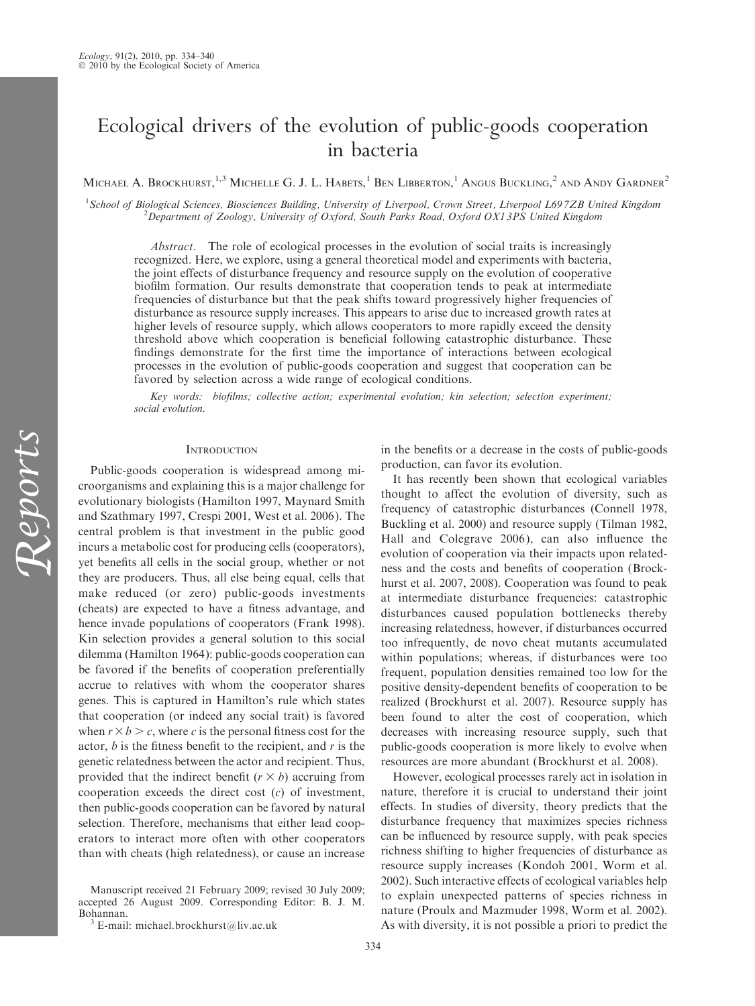# Ecological drivers of the evolution of public-goods cooperation in bacteria

Michael A. Brockhurst,  $^{1,3}$  Michelle G. J. L. Habets,  $^1$  Ben Libberton,  $^1$  Angus Buckling,  $^2$  and Andy Gardner  $^2$ 

<sup>1</sup> School of Biological Sciences, Biosciences Building, University of Liverpool, Crown Street, Liverpool L697ZB United Kingdom<br><sup>2</sup> Department of Zoology, University of Oxford, South Barks Boad, Oxford OXL3PS United Kingdo <sup>2</sup>Department of Zoology, University of Oxford, South Parks Road, Oxford OX13PS United Kingdom

Abstract. The role of ecological processes in the evolution of social traits is increasingly recognized. Here, we explore, using a general theoretical model and experiments with bacteria, the joint effects of disturbance frequency and resource supply on the evolution of cooperative biofilm formation. Our results demonstrate that cooperation tends to peak at intermediate frequencies of disturbance but that the peak shifts toward progressively higher frequencies of disturbance as resource supply increases. This appears to arise due to increased growth rates at higher levels of resource supply, which allows cooperators to more rapidly exceed the density threshold above which cooperation is beneficial following catastrophic disturbance. These findings demonstrate for the first time the importance of interactions between ecological processes in the evolution of public-goods cooperation and suggest that cooperation can be favored by selection across a wide range of ecological conditions.

Key words: biofilms; collective action; experimental evolution; kin selection; selection experiment; social evolution.

# **INTRODUCTION**

Public-goods cooperation is widespread among microorganisms and explaining this is a major challenge for evolutionary biologists (Hamilton 1997, Maynard Smith and Szathmary 1997, Crespi 2001, West et al. 2006). The central problem is that investment in the public good incurs a metabolic cost for producing cells (cooperators), yet benefits all cells in the social group, whether or not they are producers. Thus, all else being equal, cells that make reduced (or zero) public-goods investments (cheats) are expected to have a fitness advantage, and hence invade populations of cooperators (Frank 1998). Kin selection provides a general solution to this social dilemma (Hamilton 1964): public-goods cooperation can be favored if the benefits of cooperation preferentially accrue to relatives with whom the cooperator shares genes. This is captured in Hamilton's rule which states that cooperation (or indeed any social trait) is favored when  $r \times b > c$ , where c is the personal fitness cost for the actor,  $b$  is the fitness benefit to the recipient, and  $r$  is the genetic relatedness between the actor and recipient. Thus, provided that the indirect benefit  $(r \times b)$  accruing from cooperation exceeds the direct cost  $(c)$  of investment, then public-goods cooperation can be favored by natural selection. Therefore, mechanisms that either lead cooperators to interact more often with other cooperators than with cheats (high relatedness), or cause an increase

Manuscript received 21 February 2009; revised 30 July 2009; accepted 26 August 2009. Corresponding Editor: B. J. M. in the benefits or a decrease in the costs of public-goods production, can favor its evolution.

It has recently been shown that ecological variables thought to affect the evolution of diversity, such as frequency of catastrophic disturbances (Connell 1978, Buckling et al. 2000) and resource supply (Tilman 1982, Hall and Colegrave 2006), can also influence the evolution of cooperation via their impacts upon relatedness and the costs and benefits of cooperation (Brockhurst et al. 2007, 2008). Cooperation was found to peak at intermediate disturbance frequencies: catastrophic disturbances caused population bottlenecks thereby increasing relatedness, however, if disturbances occurred too infrequently, de novo cheat mutants accumulated within populations; whereas, if disturbances were too frequent, population densities remained too low for the positive density-dependent benefits of cooperation to be realized (Brockhurst et al. 2007). Resource supply has been found to alter the cost of cooperation, which decreases with increasing resource supply, such that public-goods cooperation is more likely to evolve when resources are more abundant (Brockhurst et al. 2008).

However, ecological processes rarely act in isolation in nature, therefore it is crucial to understand their joint effects. In studies of diversity, theory predicts that the disturbance frequency that maximizes species richness can be influenced by resource supply, with peak species richness shifting to higher frequencies of disturbance as resource supply increases (Kondoh 2001, Worm et al. 2002). Such interactive effects of ecological variables help to explain unexpected patterns of species richness in nature (Proulx and Mazmuder 1998, Worm et al. 2002). As with diversity, it is not possible a priori to predict the

 $B^3$  E-mail: michael.brockhurst@liv.ac.uk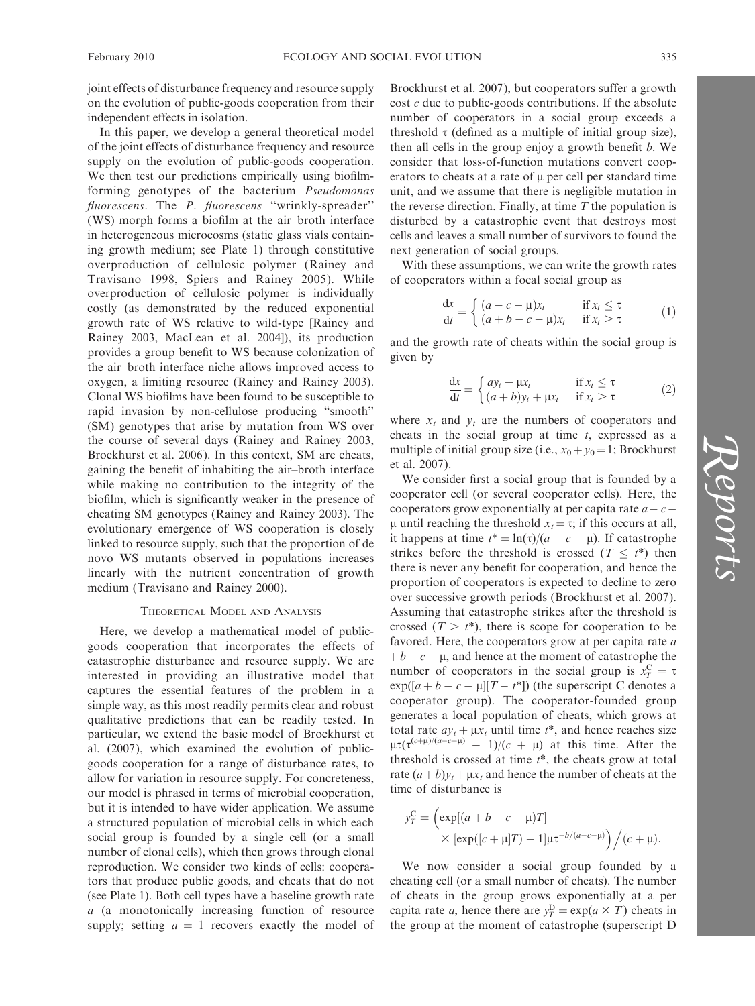joint effects of disturbance frequency and resource supply on the evolution of public-goods cooperation from their independent effects in isolation.

In this paper, we develop a general theoretical model of the joint effects of disturbance frequency and resource supply on the evolution of public-goods cooperation. We then test our predictions empirically using biofilmforming genotypes of the bacterium *Pseudomonas* fluorescens. The P. fluorescens "wrinkly-spreader" (WS) morph forms a biofilm at the air–broth interface in heterogeneous microcosms (static glass vials containing growth medium; see Plate 1) through constitutive overproduction of cellulosic polymer (Rainey and Travisano 1998, Spiers and Rainey 2005). While overproduction of cellulosic polymer is individually costly (as demonstrated by the reduced exponential growth rate of WS relative to wild-type [Rainey and Rainey 2003, MacLean et al. 2004]), its production provides a group benefit to WS because colonization of the air–broth interface niche allows improved access to oxygen, a limiting resource (Rainey and Rainey 2003). Clonal WS biofilms have been found to be susceptible to rapid invasion by non-cellulose producing ''smooth'' (SM) genotypes that arise by mutation from WS over the course of several days (Rainey and Rainey 2003, Brockhurst et al. 2006). In this context, SM are cheats, gaining the benefit of inhabiting the air–broth interface while making no contribution to the integrity of the biofilm, which is significantly weaker in the presence of cheating SM genotypes (Rainey and Rainey 2003). The evolutionary emergence of WS cooperation is closely linked to resource supply, such that the proportion of de novo WS mutants observed in populations increases linearly with the nutrient concentration of growth medium (Travisano and Rainey 2000).

### THEORETICAL MODEL AND ANALYSIS

Here, we develop a mathematical model of publicgoods cooperation that incorporates the effects of catastrophic disturbance and resource supply. We are interested in providing an illustrative model that captures the essential features of the problem in a simple way, as this most readily permits clear and robust qualitative predictions that can be readily tested. In particular, we extend the basic model of Brockhurst et al. (2007), which examined the evolution of publicgoods cooperation for a range of disturbance rates, to allow for variation in resource supply. For concreteness, our model is phrased in terms of microbial cooperation, but it is intended to have wider application. We assume a structured population of microbial cells in which each social group is founded by a single cell (or a small number of clonal cells), which then grows through clonal reproduction. We consider two kinds of cells: cooperators that produce public goods, and cheats that do not (see Plate 1). Both cell types have a baseline growth rate a (a monotonically increasing function of resource supply; setting  $a = 1$  recovers exactly the model of Brockhurst et al. 2007), but cooperators suffer a growth cost  $c$  due to public-goods contributions. If the absolute number of cooperators in a social group exceeds a threshold  $\tau$  (defined as a multiple of initial group size), then all cells in the group enjoy a growth benefit b. We consider that loss-of-function mutations convert cooperators to cheats at a rate of  $\mu$  per cell per standard time unit, and we assume that there is negligible mutation in the reverse direction. Finally, at time  $T$  the population is disturbed by a catastrophic event that destroys most cells and leaves a small number of survivors to found the next generation of social groups.

With these assumptions, we can write the growth rates of cooperators within a focal social group as

$$
\frac{dx}{dt} = \begin{cases}\n(a-c - \mu)x_t & \text{if } x_t \le \tau \\
(a + b - c - \mu)x_t & \text{if } x_t > \tau\n\end{cases}
$$
\n(1)

and the growth rate of cheats within the social group is given by

$$
\frac{dx}{dt} = \begin{cases} ay_t + \mu x_t & \text{if } x_t \le \tau \\ (a+b)y_t + \mu x_t & \text{if } x_t > \tau \end{cases}
$$
 (2)

where  $x_t$  and  $y_t$  are the numbers of cooperators and cheats in the social group at time  $t$ , expressed as a multiple of initial group size (i.e.,  $x_0 + y_0 = 1$ ; Brockhurst et al. 2007).

We consider first a social group that is founded by a cooperator cell (or several cooperator cells). Here, the cooperators grow exponentially at per capita rate  $a - c \mu$  until reaching the threshold  $x_t = \tau$ ; if this occurs at all, it happens at time  $t^* = \ln(\tau)/(a - c - \mu)$ . If catastrophe strikes before the threshold is crossed ( $T < t^*$ ) then there is never any benefit for cooperation, and hence the proportion of cooperators is expected to decline to zero over successive growth periods (Brockhurst et al. 2007). Assuming that catastrophe strikes after the threshold is crossed  $(T > t^*)$ , there is scope for cooperation to be favored. Here, the cooperators grow at per capita rate a  $b - c - \mu$ , and hence at the moment of catastrophe the number of cooperators in the social group is  $x_T^C = \tau$  $exp([a + b - c - \mu][T - t^*])$  (the superscript C denotes a cooperator group). The cooperator-founded group generates a local population of cheats, which grows at total rate  $a y_t + \mu x_t$  until time  $t^*$ , and hence reaches size  $\mu \tau(\tau^{(c+\mu)/(a-c-\mu)} - 1)/(c + \mu)$  at this time. After the threshold is crossed at time  $t^*$ , the cheats grow at total rate  $(a+b)y_t + \mu x_t$  and hence the number of cheats at the time of disturbance is

$$
y_T^C = \left(\exp[(a+b-c-\mu)T]\right)
$$
  
 
$$
\times \left[\exp([c+\mu]T) - 1\right]\mu\tau^{-b/(a-c-\mu)}\right)/(c+\mu).
$$

We now consider a social group founded by a cheating cell (or a small number of cheats). The number of cheats in the group grows exponentially at a per capita rate *a*, hence there are  $y_T^D = \exp(a \times T)$  cheats in the group at the moment of catastrophe (superscript D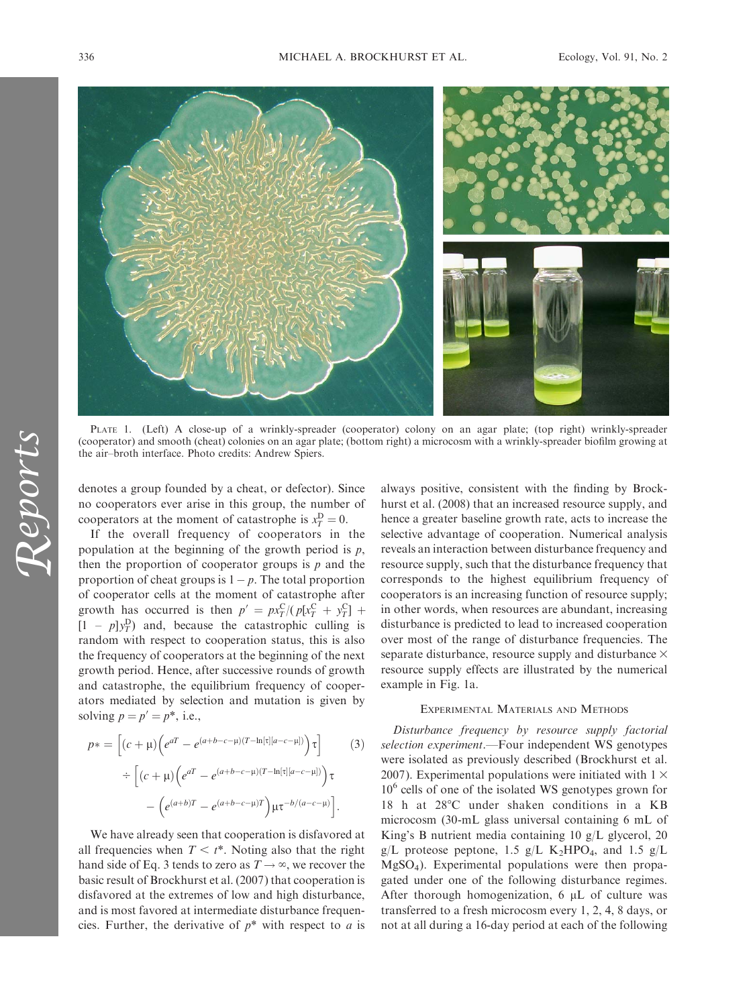

PLATE 1. (Left) A close-up of a wrinkly-spreader (cooperator) colony on an agar plate; (top right) wrinkly-spreader (cooperator) and smooth (cheat) colonies on an agar plate; (bottom right) a microcosm with a wrinkly-spreader biofilm growing at the air–broth interface. Photo credits: Andrew Spiers.

denotes a group founded by a cheat, or defector). Since no cooperators ever arise in this group, the number of cooperators at the moment of catastrophe is  $x_T^D = 0$ .

If the overall frequency of cooperators in the population at the beginning of the growth period is  $p$ , then the proportion of cooperator groups is  $p$  and the proportion of cheat groups is  $1 - p$ . The total proportion of cooperator cells at the moment of catastrophe after growth has occurred is then  $p' = px_T^C/(p[x_T^C + y_T^C] +$  $[1 - p]y_T^D$  and, because the catastrophic culling is random with respect to cooperation status, this is also the frequency of cooperators at the beginning of the next growth period. Hence, after successive rounds of growth and catastrophe, the equilibrium frequency of cooperators mediated by selection and mutation is given by solving  $p = p' = p^*$ , i.e.,

$$
p* = \left[ (c + \mu) \left( e^{aT} - e^{(a+b-c-\mu)(T-\ln[\tau][a-c-\mu])} \right) \tau \right]
$$
  
 
$$
\div \left[ (c + \mu) \left( e^{aT} - e^{(a+b-c-\mu)(T-\ln[\tau][a-c-\mu])} \right) \tau \right]
$$
  
 
$$
- \left( e^{(a+b)T} - e^{(a+b-c-\mu)T} \right) \mu \tau^{-b/(a-c-\mu)}.
$$
 (3)

We have already seen that cooperation is disfavored at all frequencies when  $T < t^*$ . Noting also that the right hand side of Eq. 3 tends to zero as  $T \rightarrow \infty$ , we recover the basic result of Brockhurst et al. (2007) that cooperation is disfavored at the extremes of low and high disturbance, and is most favored at intermediate disturbance frequencies. Further, the derivative of  $p^*$  with respect to a is always positive, consistent with the finding by Brockhurst et al. (2008) that an increased resource supply, and hence a greater baseline growth rate, acts to increase the selective advantage of cooperation. Numerical analysis reveals an interaction between disturbance frequency and resource supply, such that the disturbance frequency that corresponds to the highest equilibrium frequency of cooperators is an increasing function of resource supply; in other words, when resources are abundant, increasing disturbance is predicted to lead to increased cooperation over most of the range of disturbance frequencies. The separate disturbance, resource supply and disturbance  $\times$ resource supply effects are illustrated by the numerical example in Fig. 1a.

# EXPERIMENTAL MATERIALS AND METHODS

Disturbance frequency by resource supply factorial selection experiment.—Four independent WS genotypes were isolated as previously described (Brockhurst et al. 2007). Experimental populations were initiated with  $1 \times$ 10<sup>6</sup> cells of one of the isolated WS genotypes grown for 18 h at 28°C under shaken conditions in a KB microcosm (30-mL glass universal containing 6 mL of King's B nutrient media containing 10 g/L glycerol, 20  $g/L$  proteose peptone, 1.5  $g/L$  K<sub>2</sub>HPO<sub>4</sub>, and 1.5  $g/L$ MgSO4). Experimental populations were then propagated under one of the following disturbance regimes. After thorough homogenization,  $6 \mu L$  of culture was transferred to a fresh microcosm every 1, 2, 4, 8 days, or not at all during a 16-day period at each of the following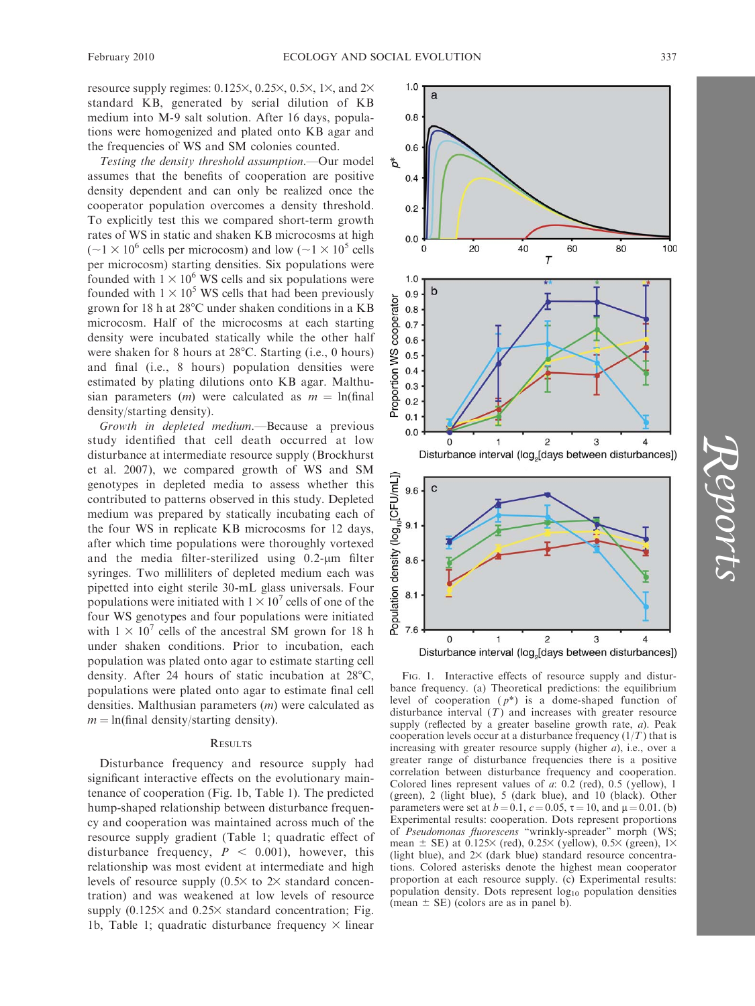resource supply regimes:  $0.125 \times$ ,  $0.25 \times$ ,  $0.5 \times$ ,  $1 \times$ , and  $2 \times$ standard KB, generated by serial dilution of KB medium into M-9 salt solution. After 16 days, populations were homogenized and plated onto KB agar and the frequencies of WS and SM colonies counted.

Testing the density threshold assumption.—Our model assumes that the benefits of cooperation are positive density dependent and can only be realized once the cooperator population overcomes a density threshold. To explicitly test this we compared short-term growth rates of WS in static and shaken KB microcosms at high  $({\sim}1 \times 10^6$  cells per microcosm) and low  $({\sim}1 \times 10^5$  cells per microcosm) starting densities. Six populations were founded with  $1 \times 10^6$  WS cells and six populations were founded with  $1 \times 10^5$  WS cells that had been previously grown for 18 h at  $28^{\circ}$ C under shaken conditions in a KB microcosm. Half of the microcosms at each starting density were incubated statically while the other half were shaken for 8 hours at 28°C. Starting (i.e., 0 hours) and final (i.e., 8 hours) population densities were estimated by plating dilutions onto KB agar. Malthusian parameters  $(m)$  were calculated as  $m = \ln(\text{final})$ density/starting density).

Growth in depleted medium.—Because a previous study identified that cell death occurred at low disturbance at intermediate resource supply (Brockhurst et al. 2007), we compared growth of WS and SM genotypes in depleted media to assess whether this contributed to patterns observed in this study. Depleted medium was prepared by statically incubating each of the four WS in replicate KB microcosms for 12 days, after which time populations were thoroughly vortexed and the media filter-sterilized using  $0.2$ - $\mu$ m filter syringes. Two milliliters of depleted medium each was pipetted into eight sterile 30-mL glass universals. Four populations were initiated with  $1 \times 10^7$  cells of one of the four WS genotypes and four populations were initiated with  $1 \times 10^7$  cells of the ancestral SM grown for 18 h under shaken conditions. Prior to incubation, each population was plated onto agar to estimate starting cell density. After 24 hours of static incubation at  $28^{\circ}$ C, populations were plated onto agar to estimate final cell densities. Malthusian parameters (m) were calculated as  $m = \ln(\text{final density}/\text{starting density}).$ 

# **RESULTS**

Disturbance frequency and resource supply had significant interactive effects on the evolutionary maintenance of cooperation (Fig. 1b, Table 1). The predicted hump-shaped relationship between disturbance frequency and cooperation was maintained across much of the resource supply gradient (Table 1; quadratic effect of disturbance frequency,  $P < 0.001$ ), however, this relationship was most evident at intermediate and high levels of resource supply  $(0.5 \times$  to 2 $\times$  standard concentration) and was weakened at low levels of resource supply  $(0.125 \times$  and  $0.25 \times$  standard concentration; Fig. 1b, Table 1; quadratic disturbance frequency  $\times$  linear



F<sub>IG</sub>. 1. Interactive effects of resource supply and disturbance frequency. (a) Theoretical predictions: the equilibrium level of cooperation  $(p^*)$  is a dome-shaped function of disturbance interval  $(T)$  and increases with greater resource supply (reflected by a greater baseline growth rate,  $a$ ). Peak cooperation levels occur at a disturbance frequency  $(1/T)$  that is increasing with greater resource supply (higher a), i.e., over a greater range of disturbance frequencies there is a positive correlation between disturbance frequency and cooperation. Colored lines represent values of a: 0.2 (red), 0.5 (yellow), 1 (green), 2 (light blue), 5 (dark blue), and 10 (black). Other parameters were set at  $b = 0.1$ ,  $c = 0.05$ ,  $\tau = 10$ , and  $\mu = 0.01$ . (b) Experimental results: cooperation. Dots represent proportions of Pseudomonas fluorescens ''wrinkly-spreader'' morph (WS; mean  $\pm$  SE) at 0.125 $\times$  (red), 0.25 $\times$  (yellow), 0.5 $\times$  (green), 1 $\times$ (light blue), and  $2 \times$  (dark blue) standard resource concentrations. Colored asterisks denote the highest mean cooperator proportion at each resource supply. (c) Experimental results: population density. Dots represent  $log_{10}$  population densities (mean  $\pm$  SE) (colors are as in panel b).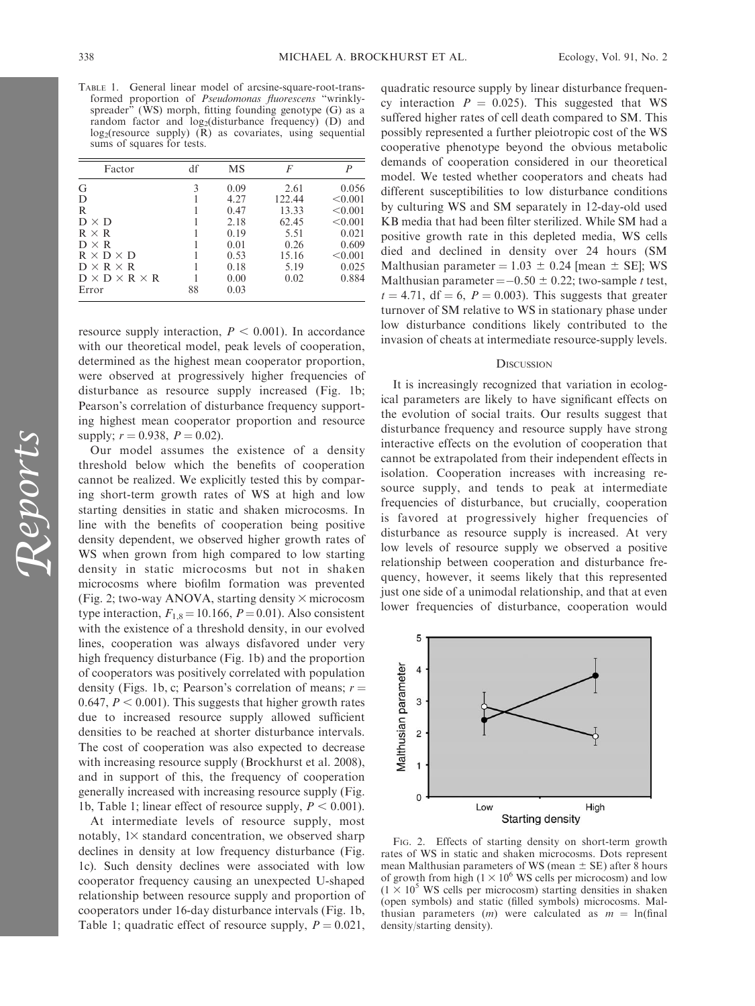TABLE 1. General linear model of arcsine-square-root-transformed proportion of Pseudomonas fluorescens ''wrinklyspreader<sup>"</sup> (WS) morph, fitting founding genotype  $(G)$  as a random factor and  $log_2$ (disturbance frequency) (D) and  $log_2$ (resource supply) (R) as covariates, using sequential sums of squares for tests.

| Factor                         | df | MS   | F      | P       |
|--------------------------------|----|------|--------|---------|
| G                              | 3  | 0.09 | 2.61   | 0.056   |
| D                              |    | 4.27 | 122.44 | < 0.001 |
| R                              |    | 0.47 | 13.33  | < 0.001 |
| $D \times D$                   |    | 2.18 | 62.45  | < 0.001 |
| $R \times R$                   |    | 0.19 | 5.51   | 0.021   |
| $D \times R$                   |    | 0.01 | 0.26   | 0.609   |
| $R \times D \times D$          |    | 0.53 | 15.16  | < 0.001 |
| $D \times R \times R$          |    | 0.18 | 5.19   | 0.025   |
| $D \times D \times R \times R$ |    | 0.00 | 0.02   | 0.884   |
| Error                          | 88 | 0.03 |        |         |

resource supply interaction,  $P < 0.001$ ). In accordance with our theoretical model, peak levels of cooperation, determined as the highest mean cooperator proportion, were observed at progressively higher frequencies of disturbance as resource supply increased (Fig. 1b; Pearson's correlation of disturbance frequency supporting highest mean cooperator proportion and resource supply;  $r = 0.938$ ,  $P = 0.02$ ).

Our model assumes the existence of a density threshold below which the benefits of cooperation cannot be realized. We explicitly tested this by comparing short-term growth rates of WS at high and low starting densities in static and shaken microcosms. In line with the benefits of cooperation being positive density dependent, we observed higher growth rates of WS when grown from high compared to low starting density in static microcosms but not in shaken microcosms where biofilm formation was prevented (Fig. 2; two-way ANOVA, starting density  $\times$  microcosm type interaction,  $F_{1,8} = 10.166$ ,  $P = 0.01$ ). Also consistent with the existence of a threshold density, in our evolved lines, cooperation was always disfavored under very high frequency disturbance (Fig. 1b) and the proportion of cooperators was positively correlated with population density (Figs. 1b, c; Pearson's correlation of means;  $r =$ 0.647,  $P < 0.001$ ). This suggests that higher growth rates due to increased resource supply allowed sufficient densities to be reached at shorter disturbance intervals. The cost of cooperation was also expected to decrease with increasing resource supply (Brockhurst et al. 2008), and in support of this, the frequency of cooperation generally increased with increasing resource supply (Fig. 1b, Table 1; linear effect of resource supply,  $P < 0.001$ ).

At intermediate levels of resource supply, most notably,  $1\times$  standard concentration, we observed sharp declines in density at low frequency disturbance (Fig. 1c). Such density declines were associated with low cooperator frequency causing an unexpected U-shaped relationship between resource supply and proportion of cooperators under 16-day disturbance intervals (Fig. 1b, Table 1; quadratic effect of resource supply,  $P = 0.021$ , quadratic resource supply by linear disturbance frequency interaction  $P = 0.025$ . This suggested that WS suffered higher rates of cell death compared to SM. This possibly represented a further pleiotropic cost of the WS cooperative phenotype beyond the obvious metabolic demands of cooperation considered in our theoretical model. We tested whether cooperators and cheats had different susceptibilities to low disturbance conditions by culturing WS and SM separately in 12-day-old used KB media that had been filter sterilized. While SM had a positive growth rate in this depleted media, WS cells died and declined in density over 24 hours (SM Malthusian parameter =  $1.03 \pm 0.24$  [mean  $\pm$  SE]; WS Malthusian parameter =  $-0.50 \pm 0.22$ ; two-sample t test,  $t = 4.71$ , df = 6, P = 0.003). This suggests that greater turnover of SM relative to WS in stationary phase under low disturbance conditions likely contributed to the invasion of cheats at intermediate resource-supply levels.

### **DISCUSSION**

It is increasingly recognized that variation in ecological parameters are likely to have significant effects on the evolution of social traits. Our results suggest that disturbance frequency and resource supply have strong interactive effects on the evolution of cooperation that cannot be extrapolated from their independent effects in isolation. Cooperation increases with increasing resource supply, and tends to peak at intermediate frequencies of disturbance, but crucially, cooperation is favored at progressively higher frequencies of disturbance as resource supply is increased. At very low levels of resource supply we observed a positive relationship between cooperation and disturbance frequency, however, it seems likely that this represented just one side of a unimodal relationship, and that at even lower frequencies of disturbance, cooperation would



FIG. 2. Effects of starting density on short-term growth rates of WS in static and shaken microcosms. Dots represent mean Malthusian parameters of WS (mean  $\pm$  SE) after 8 hours of growth from high  $(1 \times 10^6$  WS cells per microcosm) and low  $(1 \times 10^5$  WS cells per microcosm) starting densities in shaken (open symbols) and static (filled symbols) microcosms. Malthusian parameters  $(m)$  were calculated as  $m = \ln(\text{final})$ density/starting density).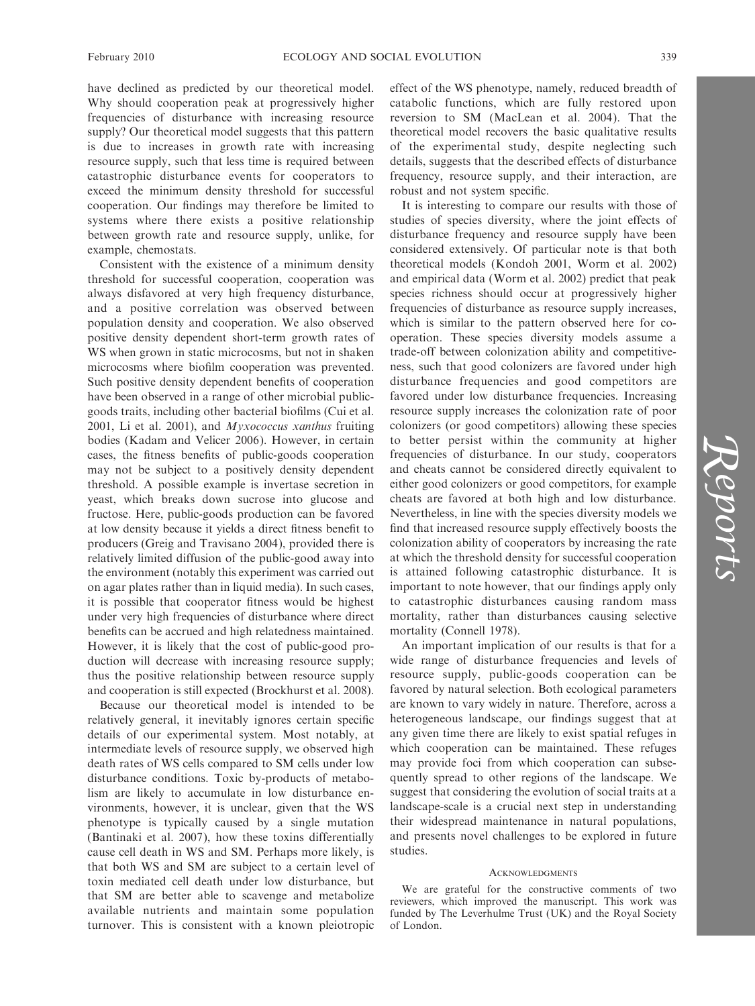have declined as predicted by our theoretical model. Why should cooperation peak at progressively higher frequencies of disturbance with increasing resource supply? Our theoretical model suggests that this pattern is due to increases in growth rate with increasing resource supply, such that less time is required between catastrophic disturbance events for cooperators to exceed the minimum density threshold for successful cooperation. Our findings may therefore be limited to systems where there exists a positive relationship between growth rate and resource supply, unlike, for example, chemostats.

Consistent with the existence of a minimum density threshold for successful cooperation, cooperation was always disfavored at very high frequency disturbance, and a positive correlation was observed between population density and cooperation. We also observed positive density dependent short-term growth rates of WS when grown in static microcosms, but not in shaken microcosms where biofilm cooperation was prevented. Such positive density dependent benefits of cooperation have been observed in a range of other microbial publicgoods traits, including other bacterial biofilms (Cui et al. 2001, Li et al. 2001), and  $Myxococcus$  xanthus fruiting bodies (Kadam and Velicer 2006). However, in certain cases, the fitness benefits of public-goods cooperation may not be subject to a positively density dependent threshold. A possible example is invertase secretion in yeast, which breaks down sucrose into glucose and fructose. Here, public-goods production can be favored at low density because it yields a direct fitness benefit to producers (Greig and Travisano 2004), provided there is relatively limited diffusion of the public-good away into the environment (notably this experiment was carried out on agar plates rather than in liquid media). In such cases, it is possible that cooperator fitness would be highest under very high frequencies of disturbance where direct benefits can be accrued and high relatedness maintained. However, it is likely that the cost of public-good production will decrease with increasing resource supply; thus the positive relationship between resource supply and cooperation is still expected (Brockhurst et al. 2008).

Because our theoretical model is intended to be relatively general, it inevitably ignores certain specific details of our experimental system. Most notably, at intermediate levels of resource supply, we observed high death rates of WS cells compared to SM cells under low disturbance conditions. Toxic by-products of metabolism are likely to accumulate in low disturbance environments, however, it is unclear, given that the WS phenotype is typically caused by a single mutation (Bantinaki et al. 2007), how these toxins differentially cause cell death in WS and SM. Perhaps more likely, is that both WS and SM are subject to a certain level of toxin mediated cell death under low disturbance, but that SM are better able to scavenge and metabolize available nutrients and maintain some population turnover. This is consistent with a known pleiotropic effect of the WS phenotype, namely, reduced breadth of catabolic functions, which are fully restored upon reversion to SM (MacLean et al. 2004). That the theoretical model recovers the basic qualitative results of the experimental study, despite neglecting such details, suggests that the described effects of disturbance frequency, resource supply, and their interaction, are robust and not system specific.

It is interesting to compare our results with those of studies of species diversity, where the joint effects of disturbance frequency and resource supply have been considered extensively. Of particular note is that both theoretical models (Kondoh 2001, Worm et al. 2002) and empirical data (Worm et al. 2002) predict that peak species richness should occur at progressively higher frequencies of disturbance as resource supply increases, which is similar to the pattern observed here for cooperation. These species diversity models assume a trade-off between colonization ability and competitiveness, such that good colonizers are favored under high disturbance frequencies and good competitors are favored under low disturbance frequencies. Increasing resource supply increases the colonization rate of poor colonizers (or good competitors) allowing these species to better persist within the community at higher frequencies of disturbance. In our study, cooperators and cheats cannot be considered directly equivalent to either good colonizers or good competitors, for example cheats are favored at both high and low disturbance. Nevertheless, in line with the species diversity models we find that increased resource supply effectively boosts the colonization ability of cooperators by increasing the rate at which the threshold density for successful cooperation is attained following catastrophic disturbance. It is important to note however, that our findings apply only to catastrophic disturbances causing random mass mortality, rather than disturbances causing selective mortality (Connell 1978).

An important implication of our results is that for a wide range of disturbance frequencies and levels of resource supply, public-goods cooperation can be favored by natural selection. Both ecological parameters are known to vary widely in nature. Therefore, across a heterogeneous landscape, our findings suggest that at any given time there are likely to exist spatial refuges in which cooperation can be maintained. These refuges may provide foci from which cooperation can subsequently spread to other regions of the landscape. We suggest that considering the evolution of social traits at a landscape-scale is a crucial next step in understanding their widespread maintenance in natural populations, and presents novel challenges to be explored in future studies.

#### ACKNOWLEDGMENTS

We are grateful for the constructive comments of two reviewers, which improved the manuscript. This work was funded by The Leverhulme Trust (UK) and the Royal Society of London.